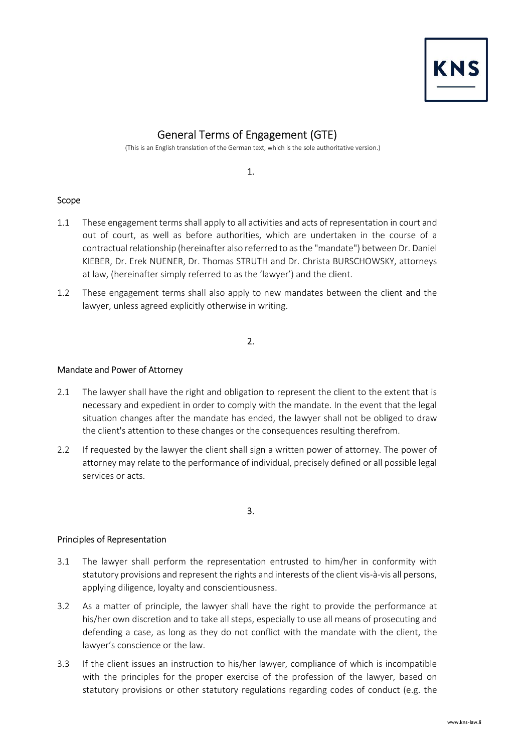# General Terms of Engagement (GTE)

(This is an English translation of the German text, which is the sole authoritative version.)

# 1.

#### Scope

- 1.1 These engagement terms shall apply to all activities and acts of representation in court and out of court, as well as before authorities, which are undertaken in the course of a contractual relationship (hereinafter also referred to as the "mandate") between Dr. Daniel KIEBER, Dr. Erek NUENER, Dr. Thomas STRUTH and Dr. Christa BURSCHOWSKY, attorneys at law, (hereinafter simply referred to as the 'lawyer') and the client.
- 1.2 These engagement terms shall also apply to new mandates between the client and the lawyer, unless agreed explicitly otherwise in writing.

# 2.

#### Mandate and Power of Attorney

- 2.1 The lawyer shall have the right and obligation to represent the client to the extent that is necessary and expedient in order to comply with the mandate. In the event that the legal situation changes after the mandate has ended, the lawyer shall not be obliged to draw the client's attention to these changes or the consequences resulting therefrom.
- 2.2 If requested by the lawyer the client shall sign a written power of attorney. The power of attorney may relate to the performance of individual, precisely defined or all possible legal services or acts.

3.

#### Principles of Representation

- 3.1 The lawyer shall perform the representation entrusted to him/her in conformity with statutory provisions and represent the rights and interests of the client vis-à-vis all persons, applying diligence, loyalty and conscientiousness.
- 3.2 As a matter of principle, the lawyer shall have the right to provide the performance at his/her own discretion and to take all steps, especially to use all means of prosecuting and defending a case, as long as they do not conflict with the mandate with the client, the lawyer's conscience or the law.
- 3.3 If the client issues an instruction to his/her lawyer, compliance of which is incompatible with the principles for the proper exercise of the profession of the lawyer, based on statutory provisions or other statutory regulations regarding codes of conduct (e.g. the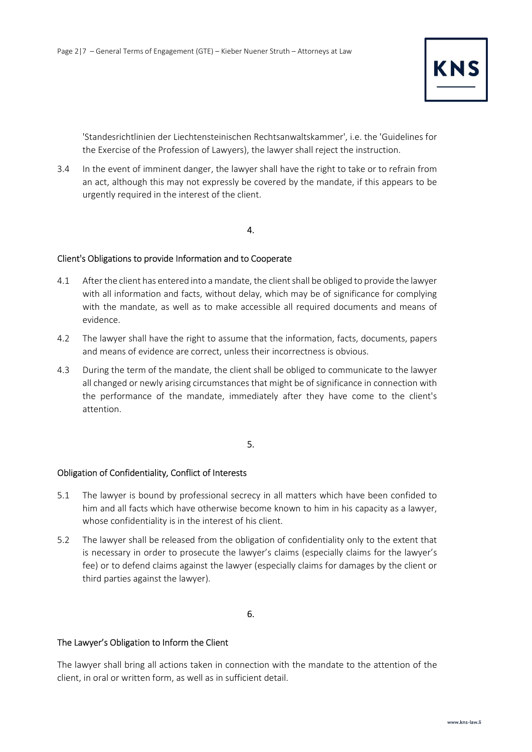'Standesrichtlinien der Liechtensteinischen Rechtsanwaltskammer', i.e. the 'Guidelines for the Exercise of the Profession of Lawyers), the lawyer shall reject the instruction.

3.4 In the event of imminent danger, the lawyer shall have the right to take or to refrain from an act, although this may not expressly be covered by the mandate, if this appears to be urgently required in the interest of the client.

4.

## Client's Obligations to provide Information and to Cooperate

- 4.1 After the client has entered into a mandate, the client shall be obliged to provide the lawyer with all information and facts, without delay, which may be of significance for complying with the mandate, as well as to make accessible all required documents and means of evidence.
- 4.2 The lawyer shall have the right to assume that the information, facts, documents, papers and means of evidence are correct, unless their incorrectness is obvious.
- 4.3 During the term of the mandate, the client shall be obliged to communicate to the lawyer all changed or newly arising circumstances that might be of significance in connection with the performance of the mandate, immediately after they have come to the client's attention.

## 5.

## Obligation of Confidentiality, Conflict of Interests

- 5.1 The lawyer is bound by professional secrecy in all matters which have been confided to him and all facts which have otherwise become known to him in his capacity as a lawyer, whose confidentiality is in the interest of his client.
- 5.2 The lawyer shall be released from the obligation of confidentiality only to the extent that is necessary in order to prosecute the lawyer's claims (especially claims for the lawyer's fee) or to defend claims against the lawyer (especially claims for damages by the client or third parties against the lawyer).

#### 6.

## The Lawyer's Obligation to Inform the Client

The lawyer shall bring all actions taken in connection with the mandate to the attention of the client, in oral or written form, as well as in sufficient detail.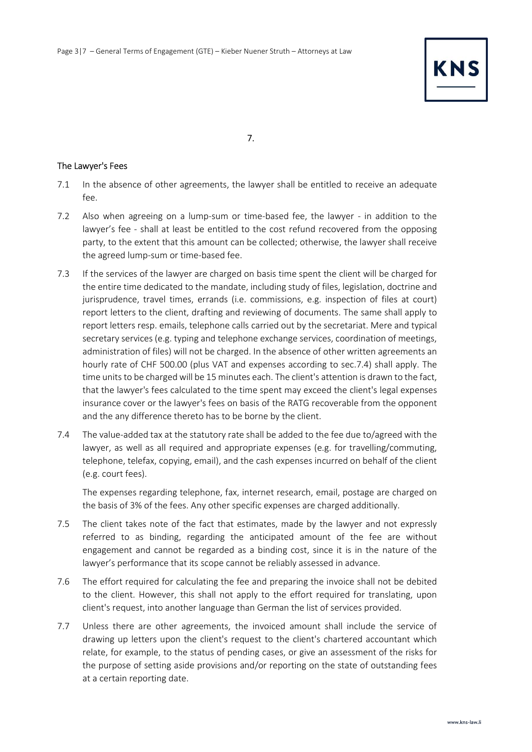

7.

## The Lawyer's Fees

- 7.1 In the absence of other agreements, the lawyer shall be entitled to receive an adequate fee.
- 7.2 Also when agreeing on a lump-sum or time-based fee, the lawyer in addition to the lawyer's fee - shall at least be entitled to the cost refund recovered from the opposing party, to the extent that this amount can be collected; otherwise, the lawyer shall receive the agreed lump-sum or time-based fee.
- 7.3 If the services of the lawyer are charged on basis time spent the client will be charged for the entire time dedicated to the mandate, including study of files, legislation, doctrine and jurisprudence, travel times, errands (i.e. commissions, e.g. inspection of files at court) report letters to the client, drafting and reviewing of documents. The same shall apply to report letters resp. emails, telephone calls carried out by the secretariat. Mere and typical secretary services (e.g. typing and telephone exchange services, coordination of meetings, administration of files) will not be charged. In the absence of other written agreements an hourly rate of CHF 500.00 (plus VAT and expenses according to sec.7.4) shall apply. The time units to be charged will be 15 minutes each. The client's attention is drawn to the fact, that the lawyer's fees calculated to the time spent may exceed the client's legal expenses insurance cover or the lawyer's fees on basis of the RATG recoverable from the opponent and the any difference thereto has to be borne by the client.
- 7.4 The value-added tax at the statutory rate shall be added to the fee due to/agreed with the lawyer, as well as all required and appropriate expenses (e.g. for travelling/commuting, telephone, telefax, copying, email), and the cash expenses incurred on behalf of the client (e.g. court fees).

The expenses regarding telephone, fax, internet research, email, postage are charged on the basis of 3% of the fees. Any other specific expenses are charged additionally.

- 7.5 The client takes note of the fact that estimates, made by the lawyer and not expressly referred to as binding, regarding the anticipated amount of the fee are without engagement and cannot be regarded as a binding cost, since it is in the nature of the lawyer's performance that its scope cannot be reliably assessed in advance.
- 7.6 The effort required for calculating the fee and preparing the invoice shall not be debited to the client. However, this shall not apply to the effort required for translating, upon client's request, into another language than German the list of services provided.
- 7.7 Unless there are other agreements, the invoiced amount shall include the service of drawing up letters upon the client's request to the client's chartered accountant which relate, for example, to the status of pending cases, or give an assessment of the risks for the purpose of setting aside provisions and/or reporting on the state of outstanding fees at a certain reporting date.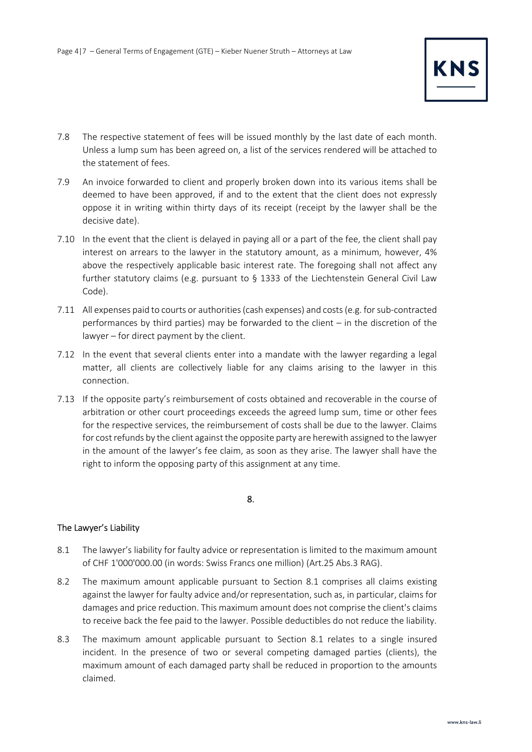- 7.8 The respective statement of fees will be issued monthly by the last date of each month. Unless a lump sum has been agreed on, a list of the services rendered will be attached to the statement of fees.
- 7.9 An invoice forwarded to client and properly broken down into its various items shall be deemed to have been approved, if and to the extent that the client does not expressly oppose it in writing within thirty days of its receipt (receipt by the lawyer shall be the decisive date).
- 7.10 In the event that the client is delayed in paying all or a part of the fee, the client shall pay interest on arrears to the lawyer in the statutory amount, as a minimum, however, 4% above the respectively applicable basic interest rate. The foregoing shall not affect any further statutory claims (e.g. pursuant to § 1333 of the Liechtenstein General Civil Law Code).
- 7.11 All expenses paid to courts or authorities (cash expenses) and costs (e.g. for sub-contracted performances by third parties) may be forwarded to the client – in the discretion of the lawyer – for direct payment by the client.
- 7.12 In the event that several clients enter into a mandate with the lawyer regarding a legal matter, all clients are collectively liable for any claims arising to the lawyer in this connection.
- 7.13 If the opposite party's reimbursement of costs obtained and recoverable in the course of arbitration or other court proceedings exceeds the agreed lump sum, time or other fees for the respective services, the reimbursement of costs shall be due to the lawyer. Claims for cost refunds by the client against the opposite party are herewith assigned to the lawyer in the amount of the lawyer's fee claim, as soon as they arise. The lawyer shall have the right to inform the opposing party of this assignment at any time.

# 8.

# The Lawyer's Liability

- 8.1 The lawyer's liability for faulty advice or representation is limited to the maximum amount of CHF 1'000'000.00 (in words: Swiss Francs one million) (Art.25 Abs.3 RAG).
- 8.2 The maximum amount applicable pursuant to Section 8.1 comprises all claims existing against the lawyer for faulty advice and/or representation, such as, in particular, claims for damages and price reduction. This maximum amount does not comprise the client's claims to receive back the fee paid to the lawyer. Possible deductibles do not reduce the liability.
- 8.3 The maximum amount applicable pursuant to Section 8.1 relates to a single insured incident. In the presence of two or several competing damaged parties (clients), the maximum amount of each damaged party shall be reduced in proportion to the amounts claimed.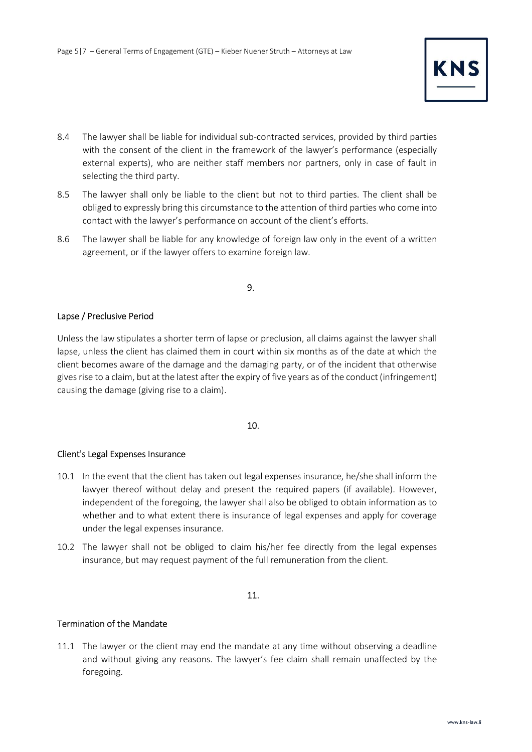- 8.4 The lawyer shall be liable for individual sub-contracted services, provided by third parties with the consent of the client in the framework of the lawyer's performance (especially external experts), who are neither staff members nor partners, only in case of fault in selecting the third party.
- 8.5 The lawyer shall only be liable to the client but not to third parties. The client shall be obliged to expressly bring this circumstance to the attention of third parties who come into contact with the lawyer's performance on account of the client's efforts.
- 8.6 The lawyer shall be liable for any knowledge of foreign law only in the event of a written agreement, or if the lawyer offers to examine foreign law.

9.

# Lapse / Preclusive Period

Unless the law stipulates a shorter term of lapse or preclusion, all claims against the lawyer shall lapse, unless the client has claimed them in court within six months as of the date at which the client becomes aware of the damage and the damaging party, or of the incident that otherwise gives rise to a claim, but at the latest after the expiry of five years as of the conduct (infringement) causing the damage (giving rise to a claim).

## 10.

## Client's Legal Expenses Insurance

- 10.1 In the event that the client has taken out legal expenses insurance, he/she shall inform the lawyer thereof without delay and present the required papers (if available). However, independent of the foregoing, the lawyer shall also be obliged to obtain information as to whether and to what extent there is insurance of legal expenses and apply for coverage under the legal expenses insurance.
- 10.2 The lawyer shall not be obliged to claim his/her fee directly from the legal expenses insurance, but may request payment of the full remuneration from the client.

#### 11.

## Termination of the Mandate

11.1 The lawyer or the client may end the mandate at any time without observing a deadline and without giving any reasons. The lawyer's fee claim shall remain unaffected by the foregoing.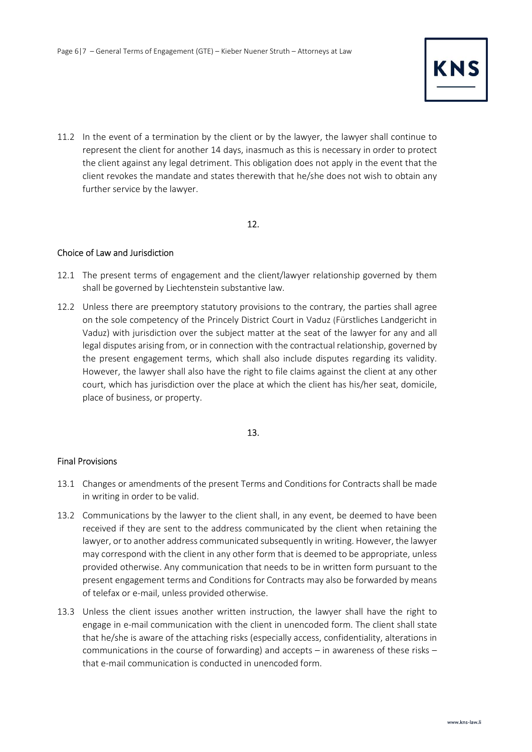11.2 In the event of a termination by the client or by the lawyer, the lawyer shall continue to represent the client for another 14 days, inasmuch as this is necessary in order to protect the client against any legal detriment. This obligation does not apply in the event that the client revokes the mandate and states therewith that he/she does not wish to obtain any further service by the lawyer.

## 12.

# Choice of Law and Jurisdiction

- 12.1 The present terms of engagement and the client/lawyer relationship governed by them shall be governed by Liechtenstein substantive law.
- 12.2 Unless there are preemptory statutory provisions to the contrary, the parties shall agree on the sole competency of the Princely District Court in Vaduz (Fürstliches Landgericht in Vaduz) with jurisdiction over the subject matter at the seat of the lawyer for any and all legal disputes arising from, or in connection with the contractual relationship, governed by the present engagement terms, which shall also include disputes regarding its validity. However, the lawyer shall also have the right to file claims against the client at any other court, which has jurisdiction over the place at which the client has his/her seat, domicile, place of business, or property.

## 13.

## Final Provisions

- 13.1 Changes or amendments of the present Terms and Conditions for Contracts shall be made in writing in order to be valid.
- 13.2 Communications by the lawyer to the client shall, in any event, be deemed to have been received if they are sent to the address communicated by the client when retaining the lawyer, or to another address communicated subsequently in writing. However, the lawyer may correspond with the client in any other form that is deemed to be appropriate, unless provided otherwise. Any communication that needs to be in written form pursuant to the present engagement terms and Conditions for Contracts may also be forwarded by means of telefax or e-mail, unless provided otherwise.
- 13.3 Unless the client issues another written instruction, the lawyer shall have the right to engage in e-mail communication with the client in unencoded form. The client shall state that he/she is aware of the attaching risks (especially access, confidentiality, alterations in communications in the course of forwarding) and accepts – in awareness of these risks – that e-mail communication is conducted in unencoded form.